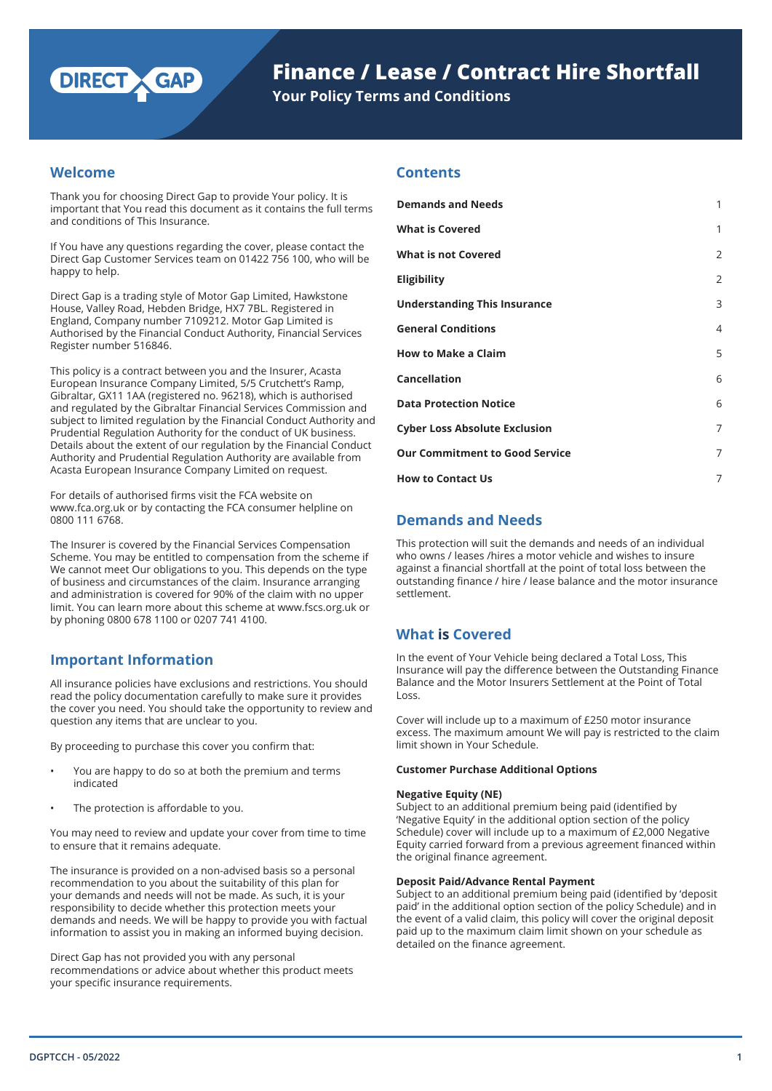

**Your Policy Terms and Conditions**

## **Welcome**

Thank you for choosing Direct Gap to provide Your policy. It is important that You read this document as it contains the full terms and conditions of This Insurance.

If You have any questions regarding the cover, please contact the Direct Gap Customer Services team on 01422 756 100, who will be happy to help.

Direct Gap is a trading style of Motor Gap Limited, Hawkstone House, Valley Road, Hebden Bridge, HX7 7BL. Registered in England, Company number 7109212. Motor Gap Limited is Authorised by the Financial Conduct Authority, Financial Services Register number 516846.

This policy is a contract between you and the Insurer, Acasta European Insurance Company Limited, 5/5 Crutchett's Ramp, Gibraltar, GX11 1AA (registered no. 96218), which is authorised and regulated by the Gibraltar Financial Services Commission and subject to limited regulation by the Financial Conduct Authority and Prudential Regulation Authority for the conduct of UK business. Details about the extent of our regulation by the Financial Conduct Authority and Prudential Regulation Authority are available from Acasta European Insurance Company Limited on request.

For details of authorised firms visit the FCA website on www.fca.org.uk or by contacting the FCA consumer helpline on 0800 111 6768.

The Insurer is covered by the Financial Services Compensation Scheme. You may be entitled to compensation from the scheme if We cannot meet Our obligations to you. This depends on the type of business and circumstances of the claim. Insurance arranging and administration is covered for 90% of the claim with no upper limit. You can learn more about this scheme at www.fscs.org.uk or by phoning 0800 678 1100 or 0207 741 4100.

All insurance policies have exclusions and restrictions. You should read the policy documentation carefully to make sure it provides the cover you need. You should take the opportunity to review and question any items that are unclear to you.

By proceeding to purchase this cover you confirm that:

- You are happy to do so at both the premium and terms indicated
- The protection is affordable to you.

You may need to review and update your cover from time to time to ensure that it remains adequate.

The insurance is provided on a non-advised basis so a personal recommendation to you about the suitability of this plan for your demands and needs will not be made. As such, it is your responsibility to decide whether this protection meets your demands and needs. We will be happy to provide you with factual information to assist you in making an informed buying decision.

Direct Gap has not provided you with any personal recommendations or advice about whether this product meets your specific insurance requirements.

## **Contents**

| <b>Demands and Needs</b>              | 1              |
|---------------------------------------|----------------|
| <b>What is Covered</b>                | 1              |
| <b>What is not Covered</b>            | $\overline{2}$ |
| <b>Eligibility</b>                    | $\overline{2}$ |
| <b>Understanding This Insurance</b>   | 3              |
| <b>General Conditions</b>             | 4              |
| <b>How to Make a Claim</b>            | 5              |
| <b>Cancellation</b>                   | 6              |
| <b>Data Protection Notice</b>         | 6              |
| <b>Cyber Loss Absolute Exclusion</b>  | 7              |
| <b>Our Commitment to Good Service</b> | 7              |
| <b>How to Contact Us</b>              | 7              |

# **Demands and Needs**

This protection will suit the demands and needs of an individual who owns / leases /hires a motor vehicle and wishes to insure against a financial shortfall at the point of total loss between the outstanding finance / hire / lease balance and the motor insurance settlement.

# **What is Covered**

**Important Information Intervent of Your Vehicle being declared a Total Loss, This** Insurance will pay the difference between the Outstanding Finance Balance and the Motor Insurers Settlement at the Point of Total Loss.

> Cover will include up to a maximum of £250 motor insurance excess. The maximum amount We will pay is restricted to the claim limit shown in Your Schedule.

#### **Customer Purchase Additional Options**

#### **Negative Equity (NE)**

Subject to an additional premium being paid (identified by 'Negative Equity' in the additional option section of the policy Schedule) cover will include up to a maximum of £2,000 Negative Equity carried forward from a previous agreement financed within the original finance agreement.

#### **Deposit Paid/Advance Rental Payment**

Subject to an additional premium being paid (identified by 'deposit paid' in the additional option section of the policy Schedule) and in the event of a valid claim, this policy will cover the original deposit paid up to the maximum claim limit shown on your schedule as detailed on the finance agreement.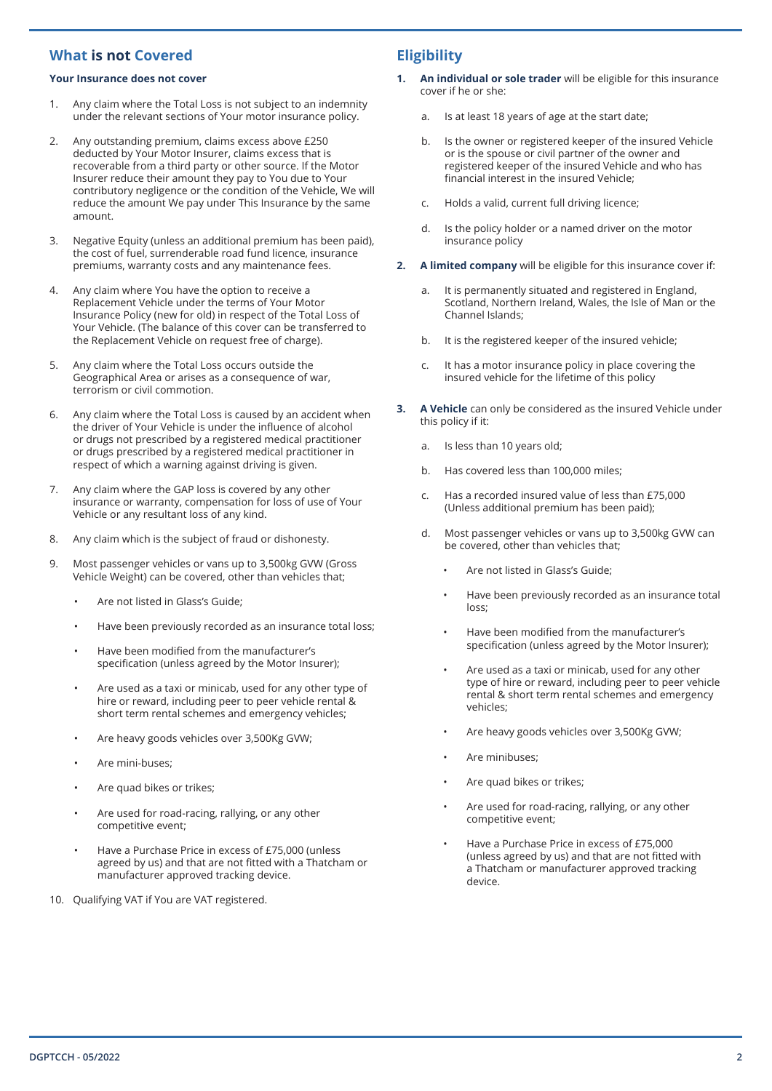## **What is not Covered**

#### **Your Insurance does not cover**

- 1. Any claim where the Total Loss is not subject to an indemnity under the relevant sections of Your motor insurance policy.
- 2. Any outstanding premium, claims excess above £250 deducted by Your Motor Insurer, claims excess that is recoverable from a third party or other source. If the Motor Insurer reduce their amount they pay to You due to Your contributory negligence or the condition of the Vehicle, We will reduce the amount We pay under This Insurance by the same amount.
- 3. Negative Equity (unless an additional premium has been paid), the cost of fuel, surrenderable road fund licence, insurance premiums, warranty costs and any maintenance fees.
- 4. Any claim where You have the option to receive a Replacement Vehicle under the terms of Your Motor Insurance Policy (new for old) in respect of the Total Loss of Your Vehicle. (The balance of this cover can be transferred to the Replacement Vehicle on request free of charge).
- 5. Any claim where the Total Loss occurs outside the Geographical Area or arises as a consequence of war, terrorism or civil commotion.
- 6. Any claim where the Total Loss is caused by an accident when the driver of Your Vehicle is under the influence of alcohol or drugs not prescribed by a registered medical practitioner or drugs prescribed by a registered medical practitioner in respect of which a warning against driving is given.
- 7. Any claim where the GAP loss is covered by any other insurance or warranty, compensation for loss of use of Your Vehicle or any resultant loss of any kind.
- 8. Any claim which is the subject of fraud or dishonesty.
- 9. Most passenger vehicles or vans up to 3,500kg GVW (Gross Vehicle Weight) can be covered, other than vehicles that;
	- Are not listed in Glass's Guide;
	- Have been previously recorded as an insurance total loss;
	- Have been modified from the manufacturer's specification (unless agreed by the Motor Insurer);
	- Are used as a taxi or minicab, used for any other type of hire or reward, including peer to peer vehicle rental & short term rental schemes and emergency vehicles;
	- Are heavy goods vehicles over 3,500Kg GVW;
	- Are mini-buses;
	- Are quad bikes or trikes;
	- Are used for road-racing, rallying, or any other competitive event;
	- Have a Purchase Price in excess of £75,000 (unless agreed by us) and that are not fitted with a Thatcham or manufacturer approved tracking device.
- 10. Qualifying VAT if You are VAT registered.

# **Eligibility**

- **1. An individual or sole trader** will be eligible for this insurance cover if he or she:
	- a. Is at least 18 years of age at the start date;
	- b. Is the owner or registered keeper of the insured Vehicle or is the spouse or civil partner of the owner and registered keeper of the insured Vehicle and who has financial interest in the insured Vehicle;
	- c. Holds a valid, current full driving licence;
	- d. Is the policy holder or a named driver on the motor insurance policy
- **2. A limited company** will be eligible for this insurance cover if:
	- a. It is permanently situated and registered in England, Scotland, Northern Ireland, Wales, the Isle of Man or the Channel Islands;
	- b. It is the registered keeper of the insured vehicle;
	- c. It has a motor insurance policy in place covering the insured vehicle for the lifetime of this policy
- **3. A Vehicle** can only be considered as the insured Vehicle under this policy if it:
	- a. Is less than 10 years old;
	- b. Has covered less than 100,000 miles;
	- c. Has a recorded insured value of less than £75,000 (Unless additional premium has been paid);
	- d. Most passenger vehicles or vans up to 3,500kg GVW can be covered, other than vehicles that;
		- Are not listed in Glass's Guide;
		- Have been previously recorded as an insurance total loss;
		- Have been modified from the manufacturer's specification (unless agreed by the Motor Insurer);
		- Are used as a taxi or minicab, used for any other type of hire or reward, including peer to peer vehicle rental & short term rental schemes and emergency vehicles;
		- Are heavy goods vehicles over 3,500Kg GVW;
		- Are minibuses;
		- Are quad bikes or trikes;
		- Are used for road-racing, rallying, or any other competitive event;
		- Have a Purchase Price in excess of £75,000 (unless agreed by us) and that are not fitted with a Thatcham or manufacturer approved tracking device.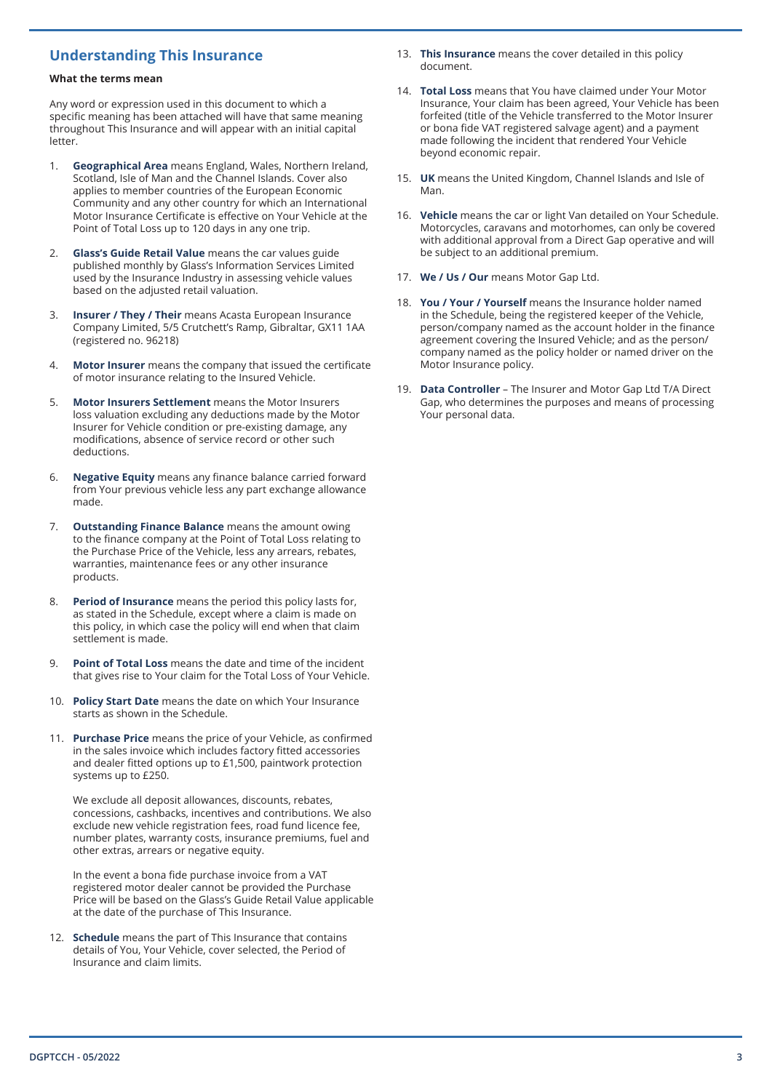# **Understanding This Insurance**

#### **What the terms mean**

Any word or expression used in this document to which a specific meaning has been attached will have that same meaning throughout This Insurance and will appear with an initial capital letter.

- 1. **Geographical Area** means England, Wales, Northern Ireland, Scotland, Isle of Man and the Channel Islands. Cover also applies to member countries of the European Economic Community and any other country for which an International Motor Insurance Certificate is effective on Your Vehicle at the Point of Total Loss up to 120 days in any one trip.
- 2. **Glass's Guide Retail Value** means the car values guide published monthly by Glass's Information Services Limited used by the Insurance Industry in assessing vehicle values based on the adjusted retail valuation.
- **Insurer / They / Their** means Acasta European Insurance Company Limited, 5/5 Crutchett's Ramp, Gibraltar, GX11 1AA (registered no. 96218)
- 4. **Motor Insurer** means the company that issued the certificate of motor insurance relating to the Insured Vehicle.
- 5. **Motor Insurers Settlement** means the Motor Insurers loss valuation excluding any deductions made by the Motor Insurer for Vehicle condition or pre-existing damage, any modifications, absence of service record or other such deductions.
- 6. **Negative Equity** means any finance balance carried forward from Your previous vehicle less any part exchange allowance made.
- **Outstanding Finance Balance** means the amount owing to the finance company at the Point of Total Loss relating to the Purchase Price of the Vehicle, less any arrears, rebates, warranties, maintenance fees or any other insurance products.
- 8. **Period of Insurance** means the period this policy lasts for, as stated in the Schedule, except where a claim is made on this policy, in which case the policy will end when that claim settlement is made.
- 9. **Point of Total Loss** means the date and time of the incident that gives rise to Your claim for the Total Loss of Your Vehicle.
- 10. **Policy Start Date** means the date on which Your Insurance starts as shown in the Schedule.
- 11. **Purchase Price** means the price of your Vehicle, as confirmed in the sales invoice which includes factory fitted accessories and dealer fitted options up to £1,500, paintwork protection systems up to £250.

We exclude all deposit allowances, discounts, rebates, concessions, cashbacks, incentives and contributions. We also exclude new vehicle registration fees, road fund licence fee, number plates, warranty costs, insurance premiums, fuel and other extras, arrears or negative equity.

In the event a bona fide purchase invoice from a VAT registered motor dealer cannot be provided the Purchase Price will be based on the Glass's Guide Retail Value applicable at the date of the purchase of This Insurance.

12. **Schedule** means the part of This Insurance that contains details of You, Your Vehicle, cover selected, the Period of Insurance and claim limits.

- 13. **This Insurance** means the cover detailed in this policy document.
- 14. **Total Loss** means that You have claimed under Your Motor Insurance, Your claim has been agreed, Your Vehicle has been forfeited (title of the Vehicle transferred to the Motor Insurer or bona fide VAT registered salvage agent) and a payment made following the incident that rendered Your Vehicle beyond economic repair.
- 15. **UK** means the United Kingdom, Channel Islands and Isle of Man.
- 16. **Vehicle** means the car or light Van detailed on Your Schedule. Motorcycles, caravans and motorhomes, can only be covered with additional approval from a Direct Gap operative and will be subject to an additional premium.
- 17. **We / Us / Our** means Motor Gap Ltd.
- 18. **You / Your / Yourself** means the Insurance holder named in the Schedule, being the registered keeper of the Vehicle, person/company named as the account holder in the finance agreement covering the Insured Vehicle; and as the person/ company named as the policy holder or named driver on the Motor Insurance policy.
- 19. **Data Controller** The Insurer and Motor Gap Ltd T/A Direct Gap, who determines the purposes and means of processing Your personal data.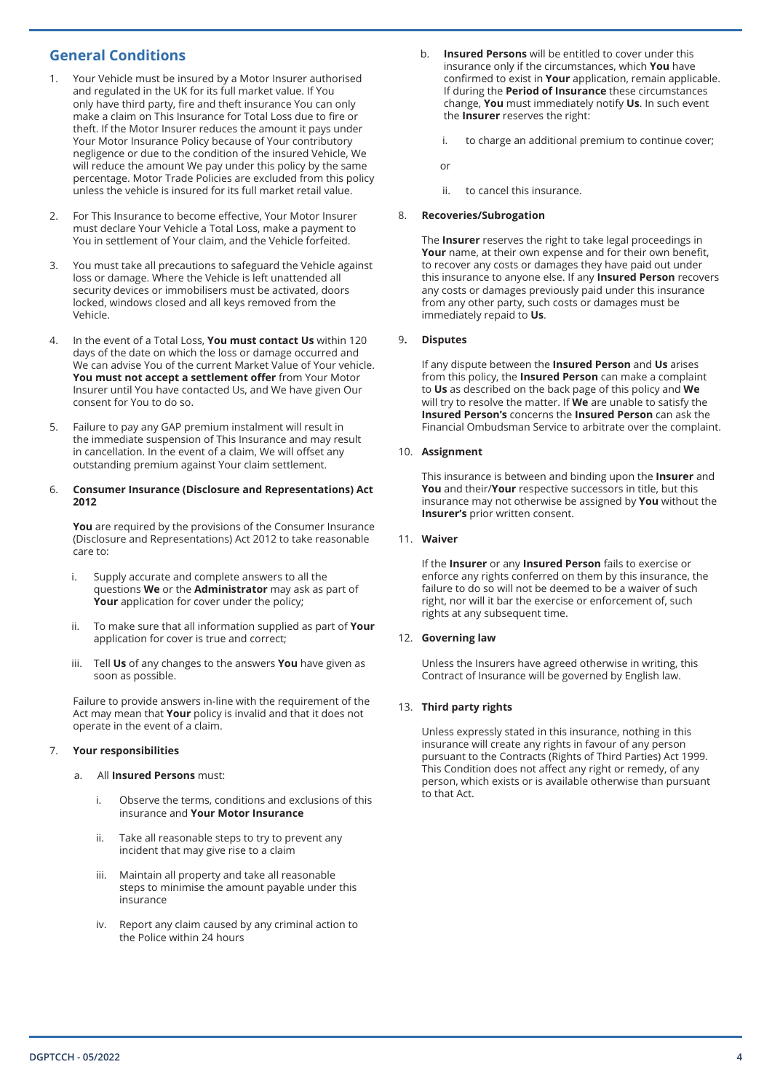## **General Conditions**

- 1. Your Vehicle must be insured by a Motor Insurer authorised and regulated in the UK for its full market value. If You only have third party, fire and theft insurance You can only make a claim on This Insurance for Total Loss due to fire or theft. If the Motor Insurer reduces the amount it pays under Your Motor Insurance Policy because of Your contributory negligence or due to the condition of the insured Vehicle, We will reduce the amount We pay under this policy by the same percentage. Motor Trade Policies are excluded from this policy unless the vehicle is insured for its full market retail value.
- 2. For This Insurance to become effective, Your Motor Insurer must declare Your Vehicle a Total Loss, make a payment to You in settlement of Your claim, and the Vehicle forfeited.
- 3. You must take all precautions to safeguard the Vehicle against loss or damage. Where the Vehicle is left unattended all security devices or immobilisers must be activated, doors locked, windows closed and all keys removed from the Vehicle.
- 4. In the event of a Total Loss, **You must contact Us** within 120 days of the date on which the loss or damage occurred and We can advise You of the current Market Value of Your vehicle. **You must not accept a settlement offer** from Your Motor Insurer until You have contacted Us, and We have given Our consent for You to do so.
- 5. Failure to pay any GAP premium instalment will result in the immediate suspension of This Insurance and may result in cancellation. In the event of a claim, We will offset any outstanding premium against Your claim settlement.

#### 6. **Consumer Insurance (Disclosure and Representations) Act 2012**

**You** are required by the provisions of the Consumer Insurance (Disclosure and Representations) Act 2012 to take reasonable care to:

- i. Supply accurate and complete answers to all the questions **We** or the **Administrator** may ask as part of **Your** application for cover under the policy;
- ii. To make sure that all information supplied as part of **Your**  application for cover is true and correct;
- iii. Tell **Us** of any changes to the answers **You** have given as soon as possible.

Failure to provide answers in-line with the requirement of the Act may mean that **Your** policy is invalid and that it does not operate in the event of a claim.

#### 7. **Your responsibilities**

- a. All **Insured Persons** must:
	- i. Observe the terms, conditions and exclusions of this insurance and **Your Motor Insurance**
	- ii. Take all reasonable steps to try to prevent any incident that may give rise to a claim
	- iii. Maintain all property and take all reasonable steps to minimise the amount payable under this insurance
	- iv. Report any claim caused by any criminal action to the Police within 24 hours
- b. **Insured Persons** will be entitled to cover under this insurance only if the circumstances, which **You** have confirmed to exist in **Your** application, remain applicable. If during the **Period of Insurance** these circumstances change, **You** must immediately notify **Us**. In such event the **Insurer** reserves the right:
	- i. to charge an additional premium to continue cover;

or

ii. to cancel this insurance.

### 8. **Recoveries/Subrogation**

The **Insurer** reserves the right to take legal proceedings in **Your** name, at their own expense and for their own benefit, to recover any costs or damages they have paid out under this insurance to anyone else. If any **Insured Person** recovers any costs or damages previously paid under this insurance from any other party, such costs or damages must be immediately repaid to **Us**.

#### 9**. Disputes**

If any dispute between the **Insured Person** and **Us** arises from this policy, the **Insured Person** can make a complaint to **Us** as described on the back page of this policy and **We** will try to resolve the matter. If **We** are unable to satisfy the **Insured Person's** concerns the **Insured Person** can ask the Financial Ombudsman Service to arbitrate over the complaint.

#### 10. **Assignment**

This insurance is between and binding upon the **Insurer** and **You** and their/**Your** respective successors in title, but this insurance may not otherwise be assigned by **You** without the **Insurer's** prior written consent.

#### 11. **Waiver**

If the **Insurer** or any **Insured Person** fails to exercise or enforce any rights conferred on them by this insurance, the failure to do so will not be deemed to be a waiver of such right, nor will it bar the exercise or enforcement of, such rights at any subsequent time.

#### 12. **Governing law**

Unless the Insurers have agreed otherwise in writing, this Contract of Insurance will be governed by English law.

#### 13. **Third party rights**

Unless expressly stated in this insurance, nothing in this insurance will create any rights in favour of any person pursuant to the Contracts (Rights of Third Parties) Act 1999. This Condition does not affect any right or remedy, of any person, which exists or is available otherwise than pursuant to that Act.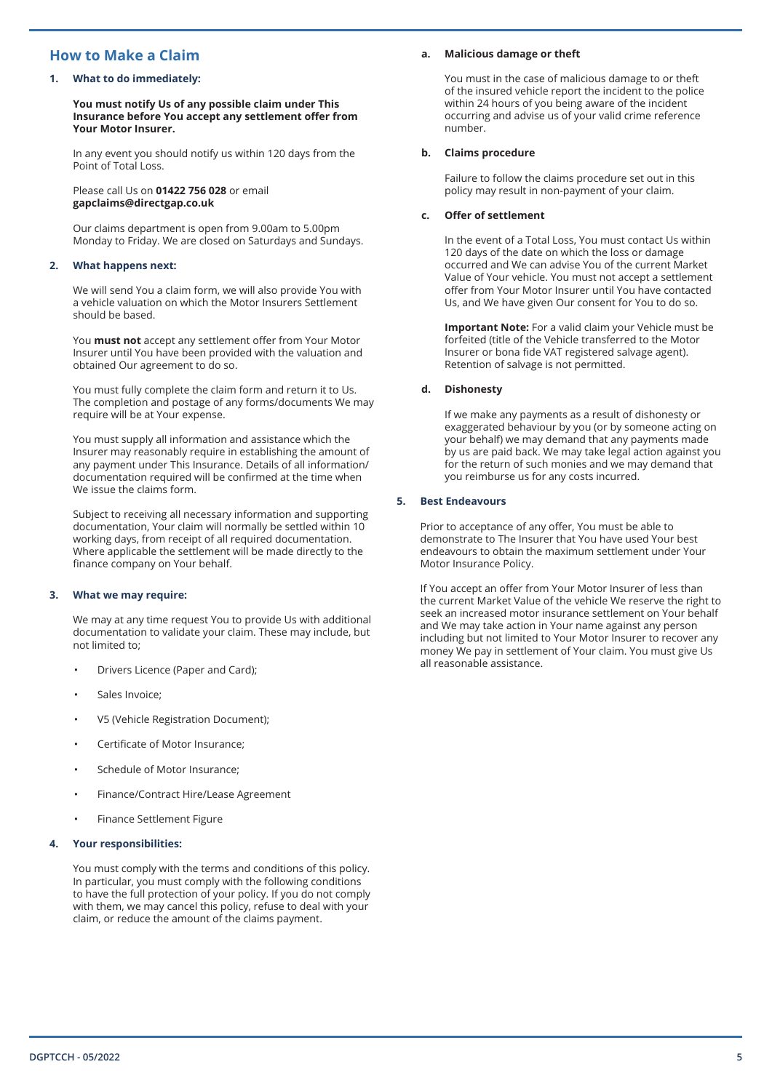## **How to Make a Claim**

#### **1. What to do immediately:**

**You must notify Us of any possible claim under This Insurance before You accept any settlement offer from Your Motor Insurer.**

In any event you should notify us within 120 days from the Point of Total Loss.

Please call Us on **01422 756 028** or email **gapclaims@directgap.co.uk**

Our claims department is open from 9.00am to 5.00pm Monday to Friday. We are closed on Saturdays and Sundays.

#### **2. What happens next:**

We will send You a claim form, we will also provide You with a vehicle valuation on which the Motor Insurers Settlement should be based.

You **must not** accept any settlement offer from Your Motor Insurer until You have been provided with the valuation and obtained Our agreement to do so.

You must fully complete the claim form and return it to Us. The completion and postage of any forms/documents We may require will be at Your expense.

You must supply all information and assistance which the Insurer may reasonably require in establishing the amount of any payment under This Insurance. Details of all information/ documentation required will be confirmed at the time when We issue the claims form.

Subject to receiving all necessary information and supporting documentation, Your claim will normally be settled within 10 working days, from receipt of all required documentation. Where applicable the settlement will be made directly to the finance company on Your behalf.

#### **3. What we may require:**

We may at any time request You to provide Us with additional documentation to validate your claim. These may include, but not limited to;

- Drivers Licence (Paper and Card);
- Sales Invoice;
- V5 (Vehicle Registration Document);
- Certificate of Motor Insurance;
- Schedule of Motor Insurance;
- Finance/Contract Hire/Lease Agreement
- Finance Settlement Figure

#### **4. Your responsibilities:**

You must comply with the terms and conditions of this policy. In particular, you must comply with the following conditions to have the full protection of your policy. If you do not comply with them, we may cancel this policy, refuse to deal with your claim, or reduce the amount of the claims payment.

#### **a. Malicious damage or theft**

You must in the case of malicious damage to or theft of the insured vehicle report the incident to the police within 24 hours of you being aware of the incident occurring and advise us of your valid crime reference number.

#### **b. Claims procedure**

Failure to follow the claims procedure set out in this policy may result in non-payment of your claim.

#### **c. Offer of settlement**

In the event of a Total Loss, You must contact Us within 120 days of the date on which the loss or damage occurred and We can advise You of the current Market Value of Your vehicle. You must not accept a settlement offer from Your Motor Insurer until You have contacted Us, and We have given Our consent for You to do so.

**Important Note:** For a valid claim your Vehicle must be forfeited (title of the Vehicle transferred to the Motor Insurer or bona fide VAT registered salvage agent). Retention of salvage is not permitted.

#### **d. Dishonesty**

If we make any payments as a result of dishonesty or exaggerated behaviour by you (or by someone acting on your behalf) we may demand that any payments made by us are paid back. We may take legal action against you for the return of such monies and we may demand that you reimburse us for any costs incurred.

#### **5. Best Endeavours**

Prior to acceptance of any offer, You must be able to demonstrate to The Insurer that You have used Your best endeavours to obtain the maximum settlement under Your Motor Insurance Policy.

If You accept an offer from Your Motor Insurer of less than the current Market Value of the vehicle We reserve the right to seek an increased motor insurance settlement on Your behalf and We may take action in Your name against any person including but not limited to Your Motor Insurer to recover any money We pay in settlement of Your claim. You must give Us all reasonable assistance.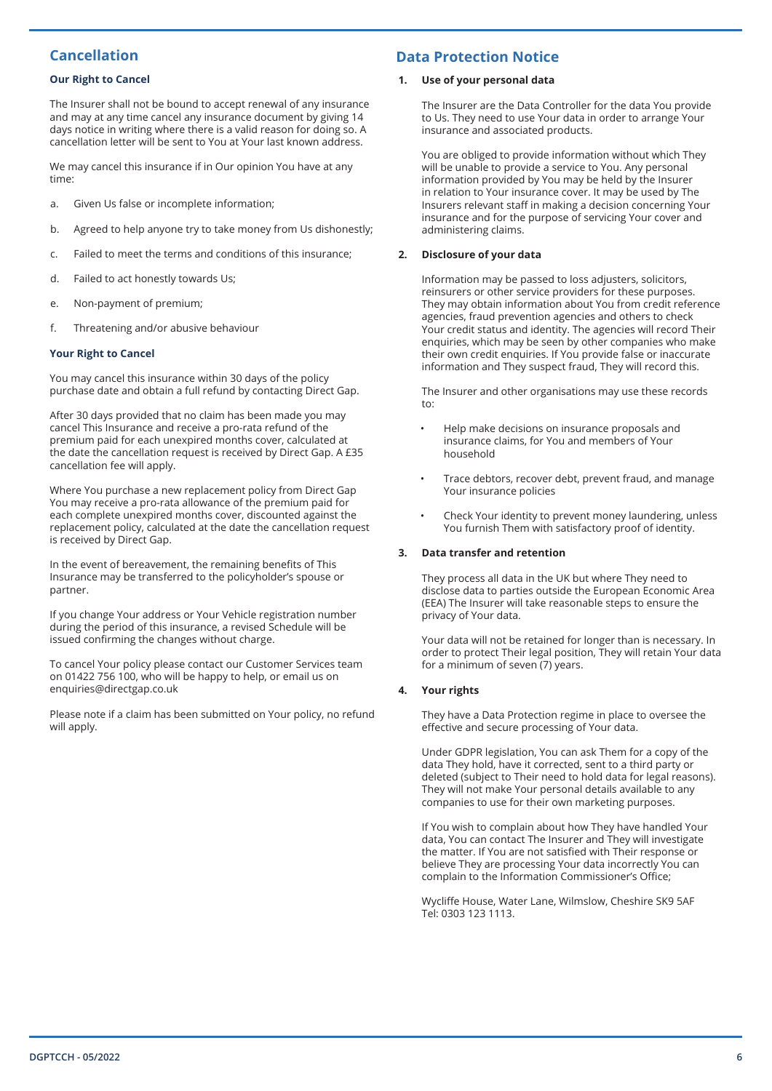# **Cancellation**

### **Our Right to Cancel**

The Insurer shall not be bound to accept renewal of any insurance and may at any time cancel any insurance document by giving 14 days notice in writing where there is a valid reason for doing so. A cancellation letter will be sent to You at Your last known address.

We may cancel this insurance if in Our opinion You have at any time:

- a. Given Us false or incomplete information;
- b. Agreed to help anyone try to take money from Us dishonestly;
- c. Failed to meet the terms and conditions of this insurance;
- d. Failed to act honestly towards Us;
- e. Non-payment of premium;
- f. Threatening and/or abusive behaviour

#### **Your Right to Cancel**

You may cancel this insurance within 30 days of the policy purchase date and obtain a full refund by contacting Direct Gap.

After 30 days provided that no claim has been made you may cancel This Insurance and receive a pro-rata refund of the premium paid for each unexpired months cover, calculated at the date the cancellation request is received by Direct Gap. A £35 cancellation fee will apply.

Where You purchase a new replacement policy from Direct Gap You may receive a pro-rata allowance of the premium paid for each complete unexpired months cover, discounted against the replacement policy, calculated at the date the cancellation request is received by Direct Gap.

In the event of bereavement, the remaining benefits of This Insurance may be transferred to the policyholder's spouse or partner.

If you change Your address or Your Vehicle registration number during the period of this insurance, a revised Schedule will be issued confirming the changes without charge.

To cancel Your policy please contact our Customer Services team on 01422 756 100, who will be happy to help, or email us on enquiries@directgap.co.uk

Please note if a claim has been submitted on Your policy, no refund will apply.

## **Data Protection Notice**

#### **1. Use of your personal data**

The Insurer are the Data Controller for the data You provide to Us. They need to use Your data in order to arrange Your insurance and associated products.

You are obliged to provide information without which They will be unable to provide a service to You. Any personal information provided by You may be held by the Insurer in relation to Your insurance cover. It may be used by The Insurers relevant staff in making a decision concerning Your insurance and for the purpose of servicing Your cover and administering claims.

#### **2. Disclosure of your data**

Information may be passed to loss adjusters, solicitors, reinsurers or other service providers for these purposes. They may obtain information about You from credit reference agencies, fraud prevention agencies and others to check Your credit status and identity. The agencies will record Their enquiries, which may be seen by other companies who make their own credit enquiries. If You provide false or inaccurate information and They suspect fraud, They will record this.

The Insurer and other organisations may use these records to:

- Help make decisions on insurance proposals and insurance claims, for You and members of Your household
- Trace debtors, recover debt, prevent fraud, and manage Your insurance policies
- Check Your identity to prevent money laundering, unless You furnish Them with satisfactory proof of identity.

#### **3. Data transfer and retention**

They process all data in the UK but where They need to disclose data to parties outside the European Economic Area (EEA) The Insurer will take reasonable steps to ensure the privacy of Your data.

Your data will not be retained for longer than is necessary. In order to protect Their legal position, They will retain Your data for a minimum of seven (7) years.

#### **4. Your rights**

They have a Data Protection regime in place to oversee the effective and secure processing of Your data.

Under GDPR legislation, You can ask Them for a copy of the data They hold, have it corrected, sent to a third party or deleted (subject to Their need to hold data for legal reasons). They will not make Your personal details available to any companies to use for their own marketing purposes.

If You wish to complain about how They have handled Your data, You can contact The Insurer and They will investigate the matter. If You are not satisfied with Their response or believe They are processing Your data incorrectly You can complain to the Information Commissioner's Office;

Wycliffe House, Water Lane, Wilmslow, Cheshire SK9 5AF Tel: 0303 123 1113.